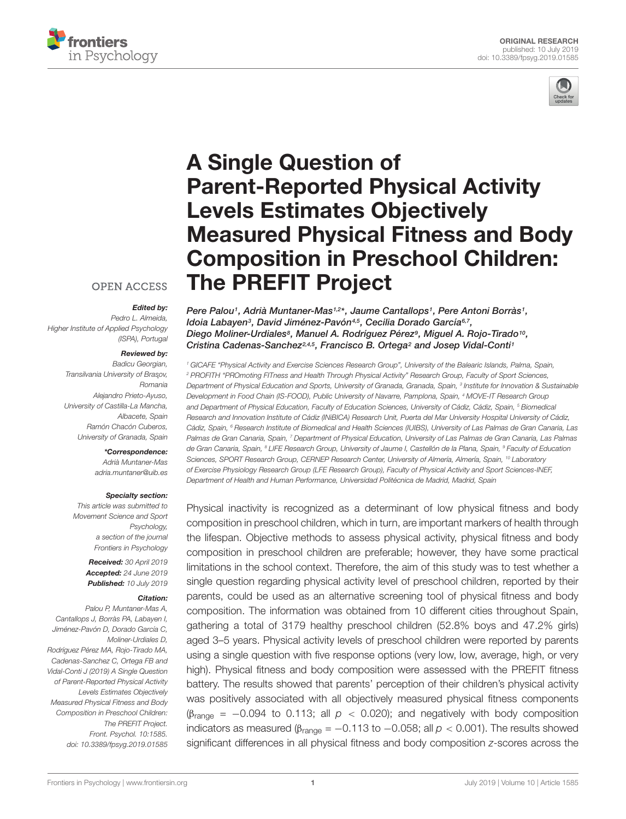



# A Single Question of Parent-Reported Physical Activity Levels Estimates Objectively [Measured Physical Fitness and Body](https://www.frontiersin.org/articles/10.3389/fpsyg.2019.01585/full) Composition in Preschool Children: The PREFIT Project

#### **OPEN ACCESS**

#### Edited by:

Pedro L. Almeida, Higher Institute of Applied Psychology (ISPA), Portugal

#### Reviewed by:

Badicu Georgian, Transilvania University of Brasov, Romania Alejandro Prieto-Ayuso, University of Castilla-La Mancha, Albacete, Spain Ramón Chacón Cuberos, University of Granada, Spain

> \*Correspondence: Adrià Muntaner-Mas

adria.muntaner@uib.es

#### Specialty section:

This article was submitted to Movement Science and Sport Psychology, a section of the journal Frontiers in Psychology

> Received: 30 April 2019 Accepted: 24 June 2019 Published: 10 July 2019

#### Citation:

Palou P, Muntaner-Mas A, Cantallops J, Borràs PA, Labayen I, Jiménez-Pavón D, Dorado García C, Moliner-Urdiales D, Rodríguez Pérez MA, Rojo-Tirado MA, Cadenas-Sanchez C, Ortega FB and Vidal-Conti J (2019) A Single Question of Parent-Reported Physical Activity Levels Estimates Objectively Measured Physical Fitness and Body Composition in Preschool Children: The PREFIT Project. Front. Psychol. 10:1585. doi: [10.3389/fpsyg.2019.01585](https://doi.org/10.3389/fpsyg.2019.01585)

Pere Palou<sup>1</sup>, [Adrià Muntaner-Mas](http://loop.frontiersin.org/people/635900/overview)<sup>1,2\*</sup>, [Jaume Cantallops](http://loop.frontiersin.org/people/732996/overview)<sup>1</sup>, Pere Antoni Borràs<sup>1</sup>, ldoia Labayen<sup>3</sup>, [David Jiménez-Pavón](http://loop.frontiersin.org/people/442079/overview)<sup>4,5</sup>, Cecilia Dorado García<sup>6,7</sup>, [Diego Moliner-Urdiales](http://loop.frontiersin.org/people/761509/overview)<sup>s</sup>, Manuel A. Rodríguez Pérez<sup>s</sup>, [Miguel A. Rojo-Tirado](http://loop.frontiersin.org/people/761360/overview)1º, [Cristina Cadenas-Sanchez](http://loop.frontiersin.org/people/721980/overview)<sup>2,4,5</sup>, [Francisco B. Ortega](http://loop.frontiersin.org/people/501931/overview)<sup>2</sup> and [Josep Vidal-Conti](http://loop.frontiersin.org/people/746868/overview)<sup>1</sup>

<sup>1</sup> GICAFE "Physical Activity and Exercise Sciences Research Group", University of the Balearic Islands, Palma, Spain, <sup>2</sup> PROFITH "PROmoting FITness and Health Through Physical Activity" Research Group, Faculty of Sport Sciences, Department of Physical Education and Sports, University of Granada, Granada, Spain, <sup>3</sup> Institute for Innovation & Sustainable Development in Food Chain (IS-FOOD), Public University of Navarre, Pamplona, Spain, <sup>4</sup> MOVE-IT Research Group and Department of Physical Education, Faculty of Education Sciences, University of Cádiz, Cádiz, Spain, <sup>5</sup> Biomedical Research and Innovation Institute of Cádiz (INiBICA) Research Unit, Puerta del Mar University Hospital University of Cádiz, Cádiz, Spain, <sup>6</sup> Research Institute of Biomedical and Health Sciences (IUIBS), University of Las Palmas de Gran Canaria, Las Palmas de Gran Canaria, Spain, 7 Department of Physical Education, University of Las Palmas de Gran Canaria, Las Palmas de Gran Canaria, Spain, <sup>8</sup> LIFE Research Group, University of Jaume I, Castellón de la Plana, Spain, <sup>9</sup> Faculty of Education Sciences, SPORT Research Group, CERNEP Research Center, University of Almería, Almería, Spain, <sup>10</sup> Laboratory of Exercise Physiology Research Group (LFE Research Group), Faculty of Physical Activity and Sport Sciences-INEF, Department of Health and Human Performance, Universidad Politécnica de Madrid, Madrid, Spain

Physical inactivity is recognized as a determinant of low physical fitness and body composition in preschool children, which in turn, are important markers of health through the lifespan. Objective methods to assess physical activity, physical fitness and body composition in preschool children are preferable; however, they have some practical limitations in the school context. Therefore, the aim of this study was to test whether a single question regarding physical activity level of preschool children, reported by their parents, could be used as an alternative screening tool of physical fitness and body composition. The information was obtained from 10 different cities throughout Spain, gathering a total of 3179 healthy preschool children (52.8% boys and 47.2% girls) aged 3–5 years. Physical activity levels of preschool children were reported by parents using a single question with five response options (very low, low, average, high, or very high). Physical fitness and body composition were assessed with the PREFIT fitness battery. The results showed that parents' perception of their children's physical activity was positively associated with all objectively measured physical fitness components ( $\beta_{\text{range}} = -0.094$  to 0.113; all  $p < 0.020$ ); and negatively with body composition indicators as measured ( $\beta_{\text{range}} = -0.113$  to  $-0.058$ ; all  $p < 0.001$ ). The results showed significant differences in all physical fitness and body composition z-scores across the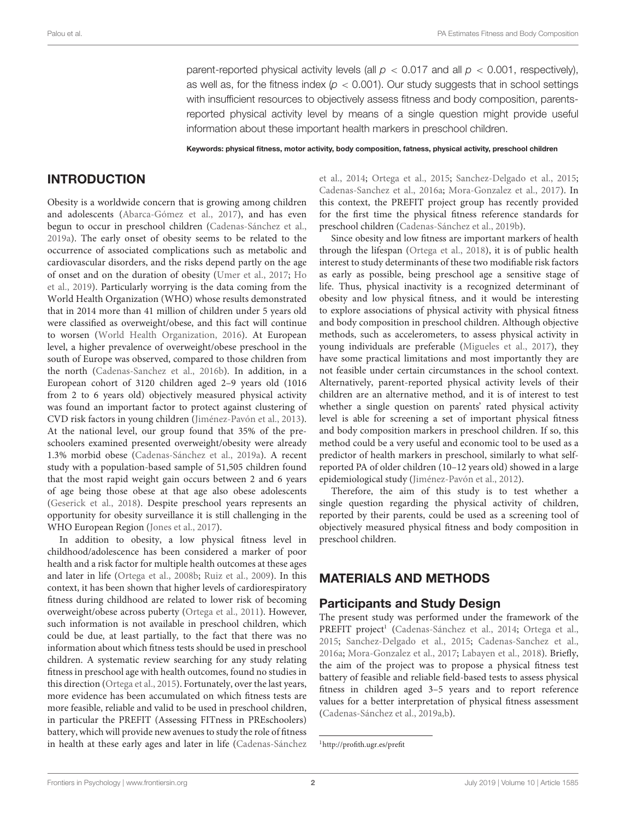parent-reported physical activity levels (all  $p < 0.017$  and all  $p < 0.001$ , respectively), as well as, for the fitness index ( $p < 0.001$ ). Our study suggests that in school settings with insufficient resources to objectively assess fitness and body composition, parentsreported physical activity level by means of a single question might provide useful information about these important health markers in preschool children.

Keywords: physical fitness, motor activity, body composition, fatness, physical activity, preschool children

#### INTRODUCTION

Obesity is a worldwide concern that is growing among children and adolescents [\(Abarca-Gómez et al.,](#page-7-0) [2017\)](#page-7-0), and has even begun to occur in preschool children [\(Cadenas-Sánchez et al.,](#page-7-1) [2019a\)](#page-7-1). The early onset of obesity seems to be related to the occurrence of associated complications such as metabolic and cardiovascular disorders, and the risks depend partly on the age of onset and on the duration of obesity [\(Umer et al.,](#page-8-0) [2017;](#page-8-0) [Ho](#page-8-1) [et al.,](#page-8-1) [2019\)](#page-8-1). Particularly worrying is the data coming from the World Health Organization (WHO) whose results demonstrated that in 2014 more than 41 million of children under 5 years old were classified as overweight/obese, and this fact will continue to worsen [\(World Health Organization,](#page-8-2) [2016\)](#page-8-2). At European level, a higher prevalence of overweight/obese preschool in the south of Europe was observed, compared to those children from the north [\(Cadenas-Sanchez et al.,](#page-7-2) [2016b\)](#page-7-2). In addition, in a European cohort of 3120 children aged 2–9 years old (1016 from 2 to 6 years old) objectively measured physical activity was found an important factor to protect against clustering of CVD risk factors in young children [\(Jiménez-Pavón et al.,](#page-8-3) [2013\)](#page-8-3). At the national level, our group found that 35% of the preschoolers examined presented overweight/obesity were already 1.3% morbid obese [\(Cadenas-Sánchez et al.,](#page-7-1) [2019a\)](#page-7-1). A recent study with a population-based sample of 51,505 children found that the most rapid weight gain occurs between 2 and 6 years of age being those obese at that age also obese adolescents [\(Geserick et al.,](#page-8-4) [2018\)](#page-8-4). Despite preschool years represents an opportunity for obesity surveillance it is still challenging in the WHO European Region [\(Jones et al.,](#page-8-5) [2017\)](#page-8-5).

In addition to obesity, a low physical fitness level in childhood/adolescence has been considered a marker of poor health and a risk factor for multiple health outcomes at these ages and later in life [\(Ortega et al.,](#page-8-6) [2008b;](#page-8-6) [Ruiz et al.,](#page-8-7) [2009\)](#page-8-7). In this context, it has been shown that higher levels of cardiorespiratory fitness during childhood are related to lower risk of becoming overweight/obese across puberty [\(Ortega et al.,](#page-8-8) [2011\)](#page-8-8). However, such information is not available in preschool children, which could be due, at least partially, to the fact that there was no information about which fitness tests should be used in preschool children. A systematic review searching for any study relating fitness in preschool age with health outcomes, found no studies in this direction [\(Ortega et al.,](#page-8-9) [2015\)](#page-8-9). Fortunately, over the last years, more evidence has been accumulated on which fitness tests are more feasible, reliable and valid to be used in preschool children, in particular the PREFIT (Assessing FITness in PREschoolers) battery, which will provide new avenues to study the role of fitness in health at these early ages and later in life [\(Cadenas-Sánchez](#page-7-3)

[et al.,](#page-7-3) [2014;](#page-7-3) [Ortega et al.,](#page-8-9) [2015;](#page-8-9) [Sanchez-Delgado et al.,](#page-8-10) [2015;](#page-8-10) [Cadenas-Sanchez et al.,](#page-7-4) [2016a;](#page-7-4) [Mora-Gonzalez et al.,](#page-8-11) [2017\)](#page-8-11). In this context, the PREFIT project group has recently provided for the first time the physical fitness reference standards for preschool children [\(Cadenas-Sánchez et al.,](#page-7-5) [2019b\)](#page-7-5).

Since obesity and low fitness are important markers of health through the lifespan [\(Ortega et al.,](#page-8-12) [2018\)](#page-8-12), it is of public health interest to study determinants of these two modifiable risk factors as early as possible, being preschool age a sensitive stage of life. Thus, physical inactivity is a recognized determinant of obesity and low physical fitness, and it would be interesting to explore associations of physical activity with physical fitness and body composition in preschool children. Although objective methods, such as accelerometers, to assess physical activity in young individuals are preferable [\(Migueles et al.,](#page-8-13) [2017\)](#page-8-13), they have some practical limitations and most importantly they are not feasible under certain circumstances in the school context. Alternatively, parent-reported physical activity levels of their children are an alternative method, and it is of interest to test whether a single question on parents' rated physical activity level is able for screening a set of important physical fitness and body composition markers in preschool children. If so, this method could be a very useful and economic tool to be used as a predictor of health markers in preschool, similarly to what selfreported PA of older children (10–12 years old) showed in a large epidemiological study [\(Jiménez-Pavón et al.,](#page-8-14) [2012\)](#page-8-14).

Therefore, the aim of this study is to test whether a single question regarding the physical activity of children, reported by their parents, could be used as a screening tool of objectively measured physical fitness and body composition in preschool children.

#### MATERIALS AND METHODS

#### Participants and Study Design

The present study was performed under the framework of the PREFIT project<sup>[1](#page-1-0)</sup> [\(Cadenas-Sánchez et al.,](#page-7-3) [2014;](#page-7-3) [Ortega et al.,](#page-8-9) [2015;](#page-8-9) [Sanchez-Delgado et al.,](#page-8-10) [2015;](#page-8-10) [Cadenas-Sanchez et al.,](#page-7-4) [2016a;](#page-7-4) [Mora-Gonzalez et al.,](#page-8-11) [2017;](#page-8-11) [Labayen et al.,](#page-8-15) [2018\)](#page-8-15). Briefly, the aim of the project was to propose a physical fitness test battery of feasible and reliable field-based tests to assess physical fitness in children aged 3–5 years and to report reference values for a better interpretation of physical fitness assessment [\(Cadenas-Sánchez et al.,](#page-7-1) [2019a,](#page-7-1)[b\)](#page-7-5).

<span id="page-1-0"></span><sup>1</sup><http://profith.ugr.es/prefit>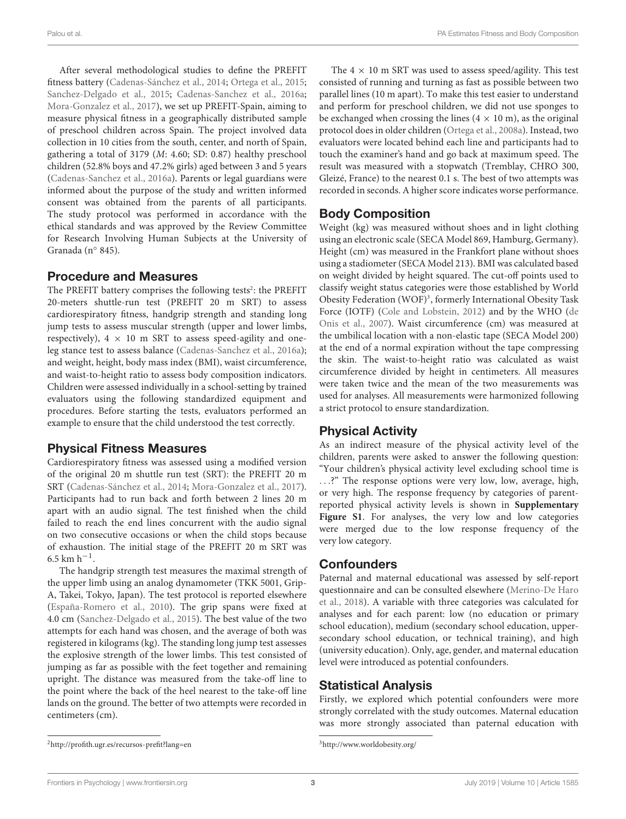After several methodological studies to define the PREFIT fitness battery [\(Cadenas-Sánchez et al.,](#page-7-3) [2014;](#page-7-3) [Ortega et al.,](#page-8-9) [2015;](#page-8-9) [Sanchez-Delgado et al.,](#page-8-10) [2015;](#page-8-10) [Cadenas-Sanchez et al.,](#page-7-4) [2016a;](#page-7-4) [Mora-Gonzalez et al.,](#page-8-11) [2017\)](#page-8-11), we set up PREFIT-Spain, aiming to measure physical fitness in a geographically distributed sample of preschool children across Spain. The project involved data collection in 10 cities from the south, center, and north of Spain, gathering a total of 3179 (M: 4.60; SD: 0.87) healthy preschool children (52.8% boys and 47.2% girls) aged between 3 and 5 years [\(Cadenas-Sanchez et al.,](#page-7-4) [2016a\)](#page-7-4). Parents or legal guardians were informed about the purpose of the study and written informed consent was obtained from the parents of all participants. The study protocol was performed in accordance with the ethical standards and was approved by the Review Committee for Research Involving Human Subjects at the University of Granada (n◦ 845).

#### Procedure and Measures

The PREFIT battery comprises the following tests<sup>[2](#page-2-0)</sup>: the PREFIT 20-meters shuttle-run test (PREFIT 20 m SRT) to assess cardiorespiratory fitness, handgrip strength and standing long jump tests to assess muscular strength (upper and lower limbs, respectively),  $4 \times 10$  m SRT to assess speed-agility and oneleg stance test to assess balance [\(Cadenas-Sanchez et al.,](#page-7-4) [2016a\)](#page-7-4); and weight, height, body mass index (BMI), waist circumference, and waist-to-height ratio to assess body composition indicators. Children were assessed individually in a school-setting by trained evaluators using the following standardized equipment and procedures. Before starting the tests, evaluators performed an example to ensure that the child understood the test correctly.

#### Physical Fitness Measures

Cardiorespiratory fitness was assessed using a modified version of the original 20 m shuttle run test (SRT): the PREFIT 20 m SRT [\(Cadenas-Sánchez et al.,](#page-7-3) [2014;](#page-7-3) [Mora-Gonzalez et al.,](#page-8-11) [2017\)](#page-8-11). Participants had to run back and forth between 2 lines 20 m apart with an audio signal. The test finished when the child failed to reach the end lines concurrent with the audio signal on two consecutive occasions or when the child stops because of exhaustion. The initial stage of the PREFIT 20 m SRT was  $6.5 \text{ km h}^{-1}$ .

The handgrip strength test measures the maximal strength of the upper limb using an analog dynamometer (TKK 5001, Grip-A, Takei, Tokyo, Japan). The test protocol is reported elsewhere [\(España-Romero et al.,](#page-8-16) [2010\)](#page-8-16). The grip spans were fixed at 4.0 cm [\(Sanchez-Delgado et al.,](#page-8-10) [2015\)](#page-8-10). The best value of the two attempts for each hand was chosen, and the average of both was registered in kilograms (kg). The standing long jump test assesses the explosive strength of the lower limbs. This test consisted of jumping as far as possible with the feet together and remaining upright. The distance was measured from the take-off line to the point where the back of the heel nearest to the take-off line lands on the ground. The better of two attempts were recorded in centimeters (cm).

The  $4 \times 10$  m SRT was used to assess speed/agility. This test consisted of running and turning as fast as possible between two parallel lines (10 m apart). To make this test easier to understand and perform for preschool children, we did not use sponges to be exchanged when crossing the lines  $(4 \times 10 \text{ m})$ , as the original protocol does in older children [\(Ortega et al.,](#page-8-17) [2008a\)](#page-8-17). Instead, two evaluators were located behind each line and participants had to touch the examiner's hand and go back at maximum speed. The result was measured with a stopwatch (Tremblay, CHRO 300, Gleizé, France) to the nearest 0.1 s. The best of two attempts was recorded in seconds. A higher score indicates worse performance.

#### Body Composition

Weight (kg) was measured without shoes and in light clothing using an electronic scale (SECA Model 869, Hamburg, Germany). Height (cm) was measured in the Frankfort plane without shoes using a stadiometer (SECA Model 213). BMI was calculated based on weight divided by height squared. The cut-off points used to classify weight status categories were those established by World Obesity Federation (WOF)<sup>[3](#page-2-1)</sup>, formerly International Obesity Task Force (IOTF) [\(Cole and Lobstein,](#page-7-6) [2012\)](#page-7-6) and by the WHO [\(de](#page-7-7) [Onis et al.,](#page-7-7) [2007\)](#page-7-7). Waist circumference (cm) was measured at the umbilical location with a non-elastic tape (SECA Model 200) at the end of a normal expiration without the tape compressing the skin. The waist-to-height ratio was calculated as waist circumference divided by height in centimeters. All measures were taken twice and the mean of the two measurements was used for analyses. All measurements were harmonized following a strict protocol to ensure standardization.

#### Physical Activity

As an indirect measure of the physical activity level of the children, parents were asked to answer the following question: "Your children's physical activity level excluding school time is . . .?" The response options were very low, low, average, high, or very high. The response frequency by categories of parentreported physical activity levels is shown in **[Supplementary](#page-7-8)** [Figure S1](#page-7-8). For analyses, the very low and low categories were merged due to the low response frequency of the very low category.

#### **Confounders**

Paternal and maternal educational was assessed by self-report questionnaire and can be consulted elsewhere [\(Merino-De Haro](#page-8-18) [et al.,](#page-8-18) [2018\)](#page-8-18). A variable with three categories was calculated for analyses and for each parent: low (no education or primary school education), medium (secondary school education, uppersecondary school education, or technical training), and high (university education). Only, age, gender, and maternal education level were introduced as potential confounders.

#### Statistical Analysis

Firstly, we explored which potential confounders were more strongly correlated with the study outcomes. Maternal education was more strongly associated than paternal education with

<span id="page-2-0"></span><sup>2</sup><http://profith.ugr.es/recursos-prefit?lang=en>

<span id="page-2-1"></span><sup>3</sup><http://www.worldobesity.org/>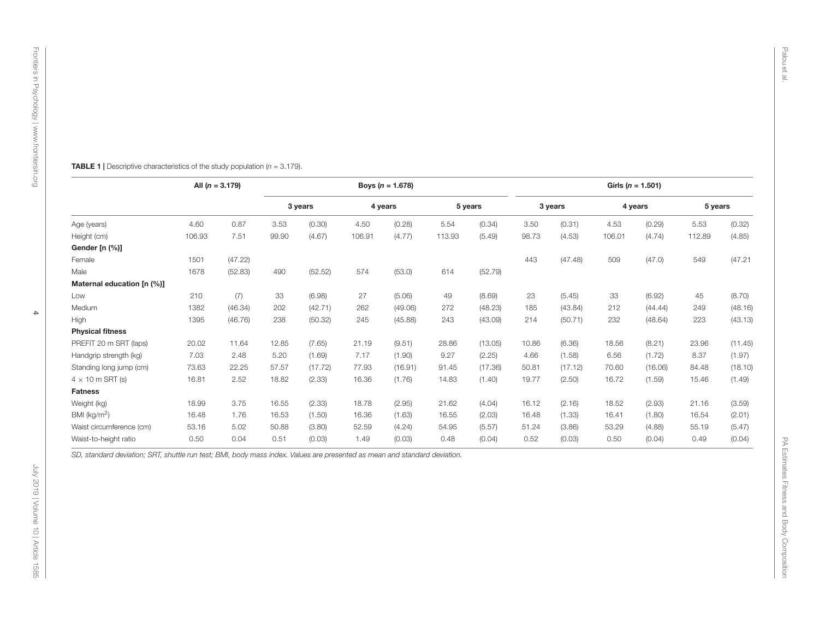<span id="page-3-0"></span>

|                            |        | All $(n = 3.179)$ |       |         |        | Boys $(n = 1.678)$ |         |         |       |         |        | Girls ( $n = 1.501$ ) |         |         |
|----------------------------|--------|-------------------|-------|---------|--------|--------------------|---------|---------|-------|---------|--------|-----------------------|---------|---------|
|                            |        |                   |       | 3 years |        | 4 years            | 5 years |         |       | 3 years |        | 4 years               | 5 years |         |
| Age (years)                | 4.60   | 0.87              | 3.53  | (0.30)  | 4.50   | (0.28)             | 5.54    | (0.34)  | 3.50  | (0.31)  | 4.53   | (0.29)                | 5.53    | (0.32)  |
| Height (cm)                | 106.93 | 7.51              | 99.90 | (4.67)  | 106.91 | (4.77)             | 113.93  | (5.49)  | 98.73 | (4.53)  | 106.01 | (4.74)                | 112.89  | (4.85)  |
| Gender [n (%)]             |        |                   |       |         |        |                    |         |         |       |         |        |                       |         |         |
| Female                     | 1501   | (47.22)           |       |         |        |                    |         |         | 443   | (47.48) | 509    | (47.0)                | 549     | (47.21) |
| Male                       | 1678   | (52.83)           | 490   | (52.52) | 574    | (53.0)             | 614     | (52.79) |       |         |        |                       |         |         |
| Maternal education [n (%)] |        |                   |       |         |        |                    |         |         |       |         |        |                       |         |         |
| Low                        | 210    | (7)               | 33    | (6.98)  | 27     | (5.06)             | 49      | (8.69)  | 23    | (5.45)  | 33     | (6.92)                | 45      | (8.70)  |
| Medium                     | 1382   | (46.34)           | 202   | (42.71) | 262    | (49.06)            | 272     | (48.23) | 185   | (43.84) | 212    | (44.44)               | 249     | (48.16) |
| High                       | 1395   | (46.76)           | 238   | (50.32) | 245    | (45.88)            | 243     | (43.09) | 214   | (50.71) | 232    | (48.64)               | 223     | (43.13) |
| <b>Physical fitness</b>    |        |                   |       |         |        |                    |         |         |       |         |        |                       |         |         |
| PREFIT 20 m SRT (laps)     | 20.02  | 11.64             | 12.85 | (7.65)  | 21.19  | (9.51)             | 28.86   | (13.05) | 10.86 | (6.36)  | 18.56  | (8.21)                | 23.96   | (11.45) |
| Handgrip strength (kg)     | 7.03   | 2.48              | 5.20  | (1.69)  | 7.17   | (1.90)             | 9.27    | (2.25)  | 4.66  | (1.58)  | 6.56   | (1.72)                | 8.37    | (1.97)  |
| Standing long jump (cm)    | 73.63  | 22.25             | 57.57 | (17.72) | 77.93  | (16.91)            | 91.45   | (17.36) | 50.81 | (17.12) | 70.60  | (16.06)               | 84.48   | (18.10) |
| $4 \times 10$ m SRT (s)    | 16.81  | 2.52              | 18.82 | (2.33)  | 16.36  | (1.76)             | 14.83   | (1.40)  | 19.77 | (2.50)  | 16.72  | (1.59)                | 15.46   | (1.49)  |
| <b>Fatness</b>             |        |                   |       |         |        |                    |         |         |       |         |        |                       |         |         |
| Weight (kg)                | 18.99  | 3.75              | 16.55 | (2.33)  | 18.78  | (2.95)             | 21.62   | (4.04)  | 16.12 | (2.16)  | 18.52  | (2.93)                | 21.16   | (3.59)  |
| BMI ( $kg/m2$ )            | 16.48  | 1.76              | 16.53 | (1.50)  | 16.36  | (1.63)             | 16.55   | (2.03)  | 16.48 | (1.33)  | 16.41  | (1.80)                | 16.54   | (2.01)  |
| Waist circumference (cm)   | 53.16  | 5.02              | 50.88 | (3.80)  | 52.59  | (4.24)             | 54.95   | (5.57)  | 51.24 | (3.86)  | 53.29  | (4.88)                | 55.19   | (5.47)  |
| Waist-to-height ratio      | 0.50   | 0.04              | 0.51  | (0.03)  | 1.49   | (0.03)             | 0.48    | (0.04)  | 0.52  | (0.03)  | 0.50   | (0.04)                | 0.49    | (0.04)  |

[Frontiers in Psychology](https://www.frontiersin.org/journals/psychology/)

Frontiers in Psychology | www.frontiersin.org

[www.frontiersin.org](https://www.frontiersin.org/)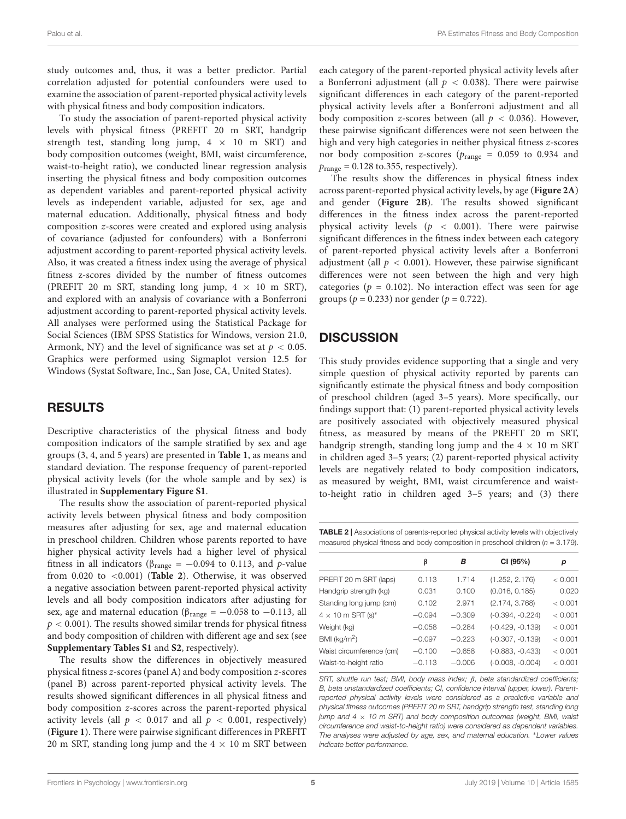study outcomes and, thus, it was a better predictor. Partial correlation adjusted for potential confounders were used to examine the association of parent-reported physical activity levels with physical fitness and body composition indicators.

To study the association of parent-reported physical activity levels with physical fitness (PREFIT 20 m SRT, handgrip strength test, standing long jump,  $4 \times 10$  m SRT) and body composition outcomes (weight, BMI, waist circumference, waist-to-height ratio), we conducted linear regression analysis inserting the physical fitness and body composition outcomes as dependent variables and parent-reported physical activity levels as independent variable, adjusted for sex, age and maternal education. Additionally, physical fitness and body composition z-scores were created and explored using analysis of covariance (adjusted for confounders) with a Bonferroni adjustment according to parent-reported physical activity levels. Also, it was created a fitness index using the average of physical fitness z-scores divided by the number of fitness outcomes (PREFIT 20 m SRT, standing long jump,  $4 \times 10$  m SRT), and explored with an analysis of covariance with a Bonferroni adjustment according to parent-reported physical activity levels. All analyses were performed using the Statistical Package for Social Sciences (IBM SPSS Statistics for Windows, version 21.0, Armonk, NY) and the level of significance was set at  $p < 0.05$ . Graphics were performed using Sigmaplot version 12.5 for Windows (Systat Software, Inc., San Jose, CA, United States).

#### RESULTS

Descriptive characteristics of the physical fitness and body composition indicators of the sample stratified by sex and age groups (3, 4, and 5 years) are presented in **[Table 1](#page-3-0)**, as means and standard deviation. The response frequency of parent-reported physical activity levels (for the whole sample and by sex) is illustrated in **[Supplementary Figure S1](#page-7-8)**.

The results show the association of parent-reported physical activity levels between physical fitness and body composition measures after adjusting for sex, age and maternal education in preschool children. Children whose parents reported to have higher physical activity levels had a higher level of physical fitness in all indicators ( $\beta_{\text{range}} = -0.094$  to 0.113, and p-value from 0.020 to <0.001) (**[Table 2](#page-4-0)**). Otherwise, it was observed a negative association between parent-reported physical activity levels and all body composition indicators after adjusting for sex, age and maternal education ( $\beta_{\text{range}} = -0.058$  to  $-0.113$ , all  $p < 0.001$ ). The results showed similar trends for physical fitness and body composition of children with different age and sex (see **[Supplementary Tables S1](#page-7-8)** and **[S2](#page-7-8)**, respectively).

The results show the differences in objectively measured physical fitness z-scores (panel A) and body composition z-scores (panel B) across parent-reported physical activity levels. The results showed significant differences in all physical fitness and body composition z-scores across the parent-reported physical activity levels (all  $p < 0.017$  and all  $p < 0.001$ , respectively) (**[Figure 1](#page-5-0)**). There were pairwise significant differences in PREFIT 20 m SRT, standing long jump and the  $4 \times 10$  m SRT between

each category of the parent-reported physical activity levels after a Bonferroni adjustment (all  $p < 0.038$ ). There were pairwise significant differences in each category of the parent-reported physical activity levels after a Bonferroni adjustment and all body composition z-scores between (all  $p < 0.036$ ). However, these pairwise significant differences were not seen between the high and very high categories in neither physical fitness z-scores nor body composition z-scores ( $p_{\text{range}} = 0.059$  to 0.934 and  $p_{\text{range}} = 0.128$  to.355, respectively).

The results show the differences in physical fitness index across parent-reported physical activity levels, by age (**[Figure 2A](#page-6-0)**) and gender (**[Figure 2B](#page-6-0)**). The results showed significant differences in the fitness index across the parent-reported physical activity levels ( $p < 0.001$ ). There were pairwise significant differences in the fitness index between each category of parent-reported physical activity levels after a Bonferroni adjustment (all  $p < 0.001$ ). However, these pairwise significant differences were not seen between the high and very high categories ( $p = 0.102$ ). No interaction effect was seen for age groups ( $p = 0.233$ ) nor gender ( $p = 0.722$ ).

#### **DISCUSSION**

This study provides evidence supporting that a single and very simple question of physical activity reported by parents can significantly estimate the physical fitness and body composition of preschool children (aged 3–5 years). More specifically, our findings support that: (1) parent-reported physical activity levels are positively associated with objectively measured physical fitness, as measured by means of the PREFIT 20 m SRT, handgrip strength, standing long jump and the  $4 \times 10$  m SRT in children aged 3–5 years; (2) parent-reported physical activity levels are negatively related to body composition indicators, as measured by weight, BMI, waist circumference and waistto-height ratio in children aged 3–5 years; and (3) there

<span id="page-4-0"></span>TABLE 2 | Associations of parents-reported physical activity levels with objectively measured physical fitness and body composition in preschool children ( $n = 3.179$ ).

|                          | β        | в        | CI (95%)           | р       |
|--------------------------|----------|----------|--------------------|---------|
| PREFIT 20 m SRT (laps)   | 0.113    | 1.714    | (1.252, 2.176)     | < 0.001 |
| Handgrip strength (kg)   | 0.031    | 0.100    | (0.016, 0.185)     | 0.020   |
| Standing long jump (cm)  | 0.102    | 2.971    | (2.174, 3.768)     | < 0.001 |
| $4 \times 10$ m SRT (s)* | $-0.094$ | $-0.309$ | $(-0.394, -0.224)$ | < 0.001 |
| Weight (kg)              | $-0.058$ | $-0.284$ | $(-0.429, -0.139)$ | < 0.001 |
| BMI ( $kg/m2$ )          | $-0.097$ | $-0.223$ | $(-0.307, -0.139)$ | < 0.001 |
| Waist circumference (cm) | $-0.100$ | $-0.658$ | $(-0.883, -0.433)$ | < 0.001 |
| Waist-to-height ratio    | $-0.113$ | $-0.006$ | $(-0.008, -0.004)$ | < 0.001 |
|                          |          |          |                    |         |

SRT, shuttle run test; BMI, body mass index; β, beta standardized coefficients; B, beta unstandardized coefficients; CI, confidence interval (upper, lower). Parentreported physical activity levels were considered as a predictive variable and physical fitness outcomes (PREFIT 20 m SRT, handgrip strength test, standing long jump and  $4 \times 10$  m SRT) and body composition outcomes (weight, BMI, waist circumference and waist-to-height ratio) were considered as dependent variables. The analyses were adjusted by age, sex, and maternal education. <sup>∗</sup>Lower values indicate better performance.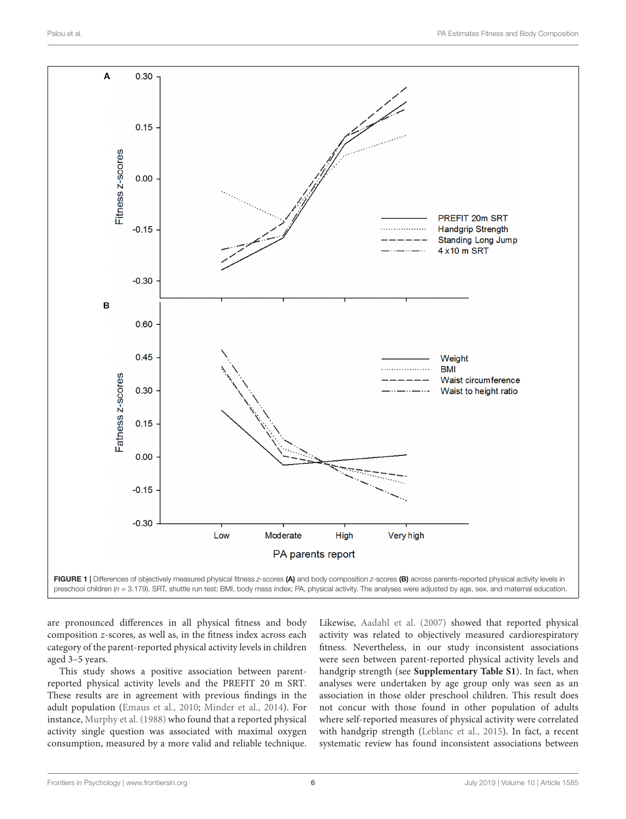

<span id="page-5-0"></span>are pronounced differences in all physical fitness and body composition z-scores, as well as, in the fitness index across each category of the parent-reported physical activity levels in children aged 3–5 years.

This study shows a positive association between parentreported physical activity levels and the PREFIT 20 m SRT. These results are in agreement with previous findings in the adult population [\(Emaus et al.,](#page-7-9) [2010;](#page-7-9) [Minder et al.,](#page-8-19) [2014\)](#page-8-19). For instance, [Murphy et al.](#page-8-20) [\(1988\)](#page-8-20) who found that a reported physical activity single question was associated with maximal oxygen consumption, measured by a more valid and reliable technique. Likewise, [Aadahl et al.](#page-7-10) [\(2007\)](#page-7-10) showed that reported physical activity was related to objectively measured cardiorespiratory fitness. Nevertheless, in our study inconsistent associations were seen between parent-reported physical activity levels and handgrip strength (see **[Supplementary Table S1](#page-7-8)**). In fact, when analyses were undertaken by age group only was seen as an association in those older preschool children. This result does not concur with those found in other population of adults where self-reported measures of physical activity were correlated with handgrip strength [\(Leblanc et al.,](#page-8-21) [2015\)](#page-8-21). In fact, a recent systematic review has found inconsistent associations between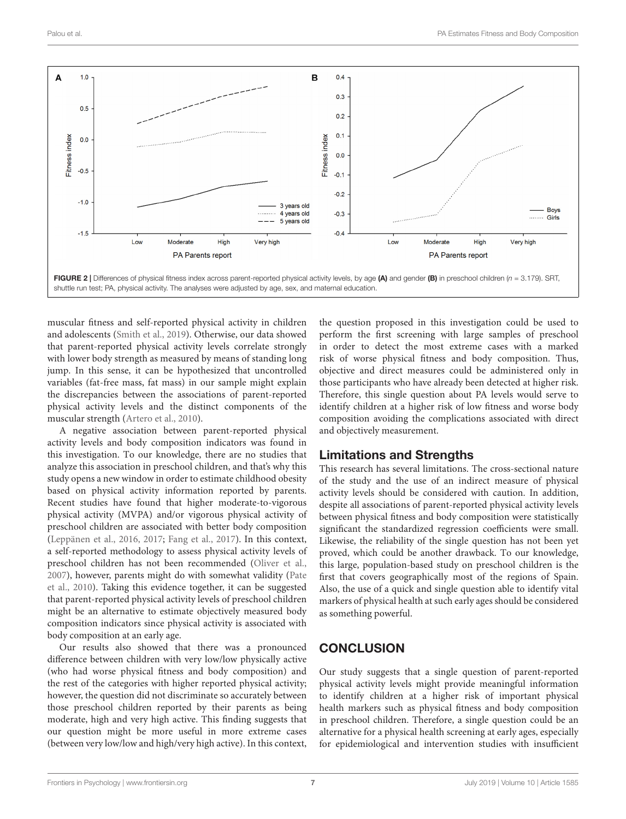

<span id="page-6-0"></span>muscular fitness and self-reported physical activity in children and adolescents [\(Smith et al.,](#page-8-22) [2019\)](#page-8-22). Otherwise, our data showed that parent-reported physical activity levels correlate strongly with lower body strength as measured by means of standing long jump. In this sense, it can be hypothesized that uncontrolled variables (fat-free mass, fat mass) in our sample might explain the discrepancies between the associations of parent-reported physical activity levels and the distinct components of the muscular strength [\(Artero et al.,](#page-7-11) [2010\)](#page-7-11).

A negative association between parent-reported physical activity levels and body composition indicators was found in this investigation. To our knowledge, there are no studies that analyze this association in preschool children, and that's why this study opens a new window in order to estimate childhood obesity based on physical activity information reported by parents. Recent studies have found that higher moderate-to-vigorous physical activity (MVPA) and/or vigorous physical activity of preschool children are associated with better body composition [\(Leppänen et al.,](#page-8-23) [2016,](#page-8-23) [2017;](#page-8-24) [Fang et al.,](#page-8-25) [2017\)](#page-8-25). In this context, a self-reported methodology to assess physical activity levels of preschool children has not been recommended [\(Oliver et al.,](#page-8-26) [2007\)](#page-8-26), however, parents might do with somewhat validity [\(Pate](#page-8-27) [et al.,](#page-8-27) [2010\)](#page-8-27). Taking this evidence together, it can be suggested that parent-reported physical activity levels of preschool children might be an alternative to estimate objectively measured body composition indicators since physical activity is associated with body composition at an early age.

Our results also showed that there was a pronounced difference between children with very low/low physically active (who had worse physical fitness and body composition) and the rest of the categories with higher reported physical activity; however, the question did not discriminate so accurately between those preschool children reported by their parents as being moderate, high and very high active. This finding suggests that our question might be more useful in more extreme cases (between very low/low and high/very high active). In this context,

the question proposed in this investigation could be used to perform the first screening with large samples of preschool in order to detect the most extreme cases with a marked risk of worse physical fitness and body composition. Thus, objective and direct measures could be administered only in those participants who have already been detected at higher risk. Therefore, this single question about PA levels would serve to identify children at a higher risk of low fitness and worse body composition avoiding the complications associated with direct and objectively measurement.

# Limitations and Strengths

This research has several limitations. The cross-sectional nature of the study and the use of an indirect measure of physical activity levels should be considered with caution. In addition, despite all associations of parent-reported physical activity levels between physical fitness and body composition were statistically significant the standardized regression coefficients were small. Likewise, the reliability of the single question has not been yet proved, which could be another drawback. To our knowledge, this large, population-based study on preschool children is the first that covers geographically most of the regions of Spain. Also, the use of a quick and single question able to identify vital markers of physical health at such early ages should be considered as something powerful.

# **CONCLUSION**

Our study suggests that a single question of parent-reported physical activity levels might provide meaningful information to identify children at a higher risk of important physical health markers such as physical fitness and body composition in preschool children. Therefore, a single question could be an alternative for a physical health screening at early ages, especially for epidemiological and intervention studies with insufficient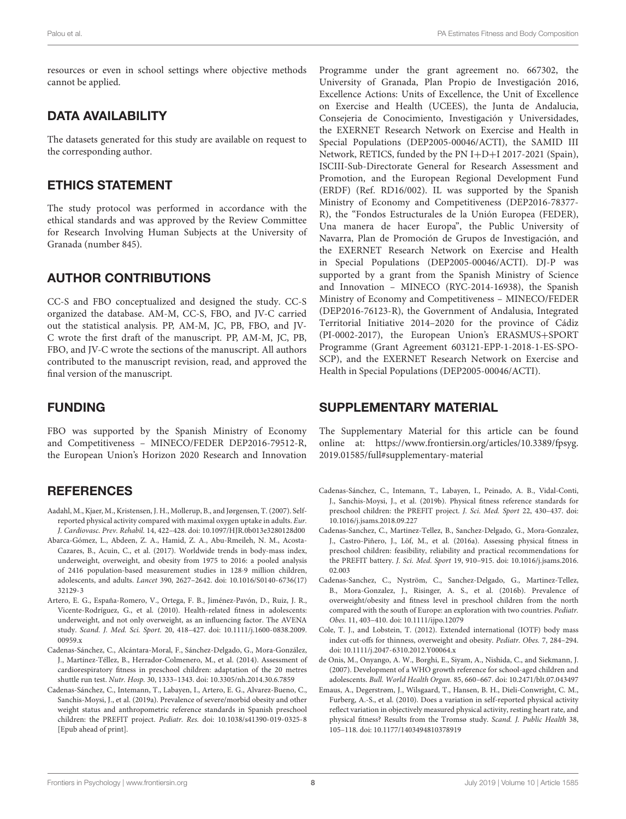resources or even in school settings where objective methods cannot be applied.

#### DATA AVAILABILITY

The datasets generated for this study are available on request to the corresponding author.

### ETHICS STATEMENT

The study protocol was performed in accordance with the ethical standards and was approved by the Review Committee for Research Involving Human Subjects at the University of Granada (number 845).

# AUTHOR CONTRIBUTIONS

CC-S and FBO conceptualized and designed the study. CC-S organized the database. AM-M, CC-S, FBO, and JV-C carried out the statistical analysis. PP, AM-M, JC, PB, FBO, and JV-C wrote the first draft of the manuscript. PP, AM-M, JC, PB, FBO, and JV-C wrote the sections of the manuscript. All authors contributed to the manuscript revision, read, and approved the final version of the manuscript.

#### FUNDING

FBO was supported by the Spanish Ministry of Economy and Competitiveness – MINECO/FEDER DEP2016-79512-R, the European Union's Horizon 2020 Research and Innovation

# **REFERENCES**

- <span id="page-7-10"></span>Aadahl, M., Kjaer, M., Kristensen, J. H., Mollerup, B., and Jørgensen, T. (2007). Selfreported physical activity compared with maximal oxygen uptake in adults. Eur. J. Cardiovasc. Prev. Rehabil. 14, 422–428. [doi: 10.1097/HJR.0b013e3280128d00](https://doi.org/10.1097/HJR.0b013e3280128d00)
- <span id="page-7-0"></span>Abarca-Gómez, L., Abdeen, Z. A., Hamid, Z. A., Abu-Rmeileh, N. M., Acosta-Cazares, B., Acuin, C., et al. (2017). Worldwide trends in body-mass index, underweight, overweight, and obesity from 1975 to 2016: a pooled analysis of 2416 population-based measurement studies in 128·9 million children, adolescents, and adults. Lancet 390, 2627–2642. [doi: 10.1016/S0140-6736\(17\)](https://doi.org/10.1016/S0140-6736(17)32129-3) [32129-3](https://doi.org/10.1016/S0140-6736(17)32129-3)
- <span id="page-7-11"></span>Artero, E. G., España-Romero, V., Ortega, F. B., Jiménez-Pavón, D., Ruiz, J. R., Vicente-Rodríguez, G., et al. (2010). Health-related fitness in adolescents: underweight, and not only overweight, as an influencing factor. The AVENA study. Scand. J. Med. Sci. Sport. 20, 418–427. [doi: 10.1111/j.1600-0838.2009.](https://doi.org/10.1111/j.1600-0838.2009.00959.x) [00959.x](https://doi.org/10.1111/j.1600-0838.2009.00959.x)
- <span id="page-7-3"></span>Cadenas-Sánchez, C., Alcántara-Moral, F., Sánchez-Delgado, G., Mora-González, J., Martínez-Téllez, B., Herrador-Colmenero, M., et al. (2014). Assessment of cardiorespiratory fitness in preschool children: adaptation of the 20 metres shuttle run test. Nutr. Hosp. 30, 1333–1343. [doi: 10.3305/nh.2014.30.6.7859](https://doi.org/10.3305/nh.2014.30.6.7859)
- <span id="page-7-1"></span>Cadenas-Sánchez, C., Intemann, T., Labayen, I., Artero, E. G., Alvarez-Bueno, C., Sanchis-Moysi, J., et al. (2019a). Prevalence of severe/morbid obesity and other weight status and anthropometric reference standards in Spanish preschool children: the PREFIT project. Pediatr. Res. [doi: 10.1038/s41390-019-0325-8](https://doi.org/10.1038/s41390-019-0325-8) [Epub ahead of print].

Programme under the grant agreement no. 667302, the University of Granada, Plan Propio de Investigación 2016, Excellence Actions: Units of Excellence, the Unit of Excellence on Exercise and Health (UCEES), the Junta de Andalucia, Consejeria de Conocimiento, Investigación y Universidades, the EXERNET Research Network on Exercise and Health in Special Populations (DEP2005-00046/ACTI), the SAMID III Network, RETICS, funded by the PN I+D+I 2017-2021 (Spain), ISCIII-Sub-Directorate General for Research Assessment and Promotion, and the European Regional Development Fund (ERDF) (Ref. RD16/002). IL was supported by the Spanish Ministry of Economy and Competitiveness (DEP2016-78377- R), the "Fondos Estructurales de la Unión Europea (FEDER), Una manera de hacer Europa", the Public University of Navarra, Plan de Promoción de Grupos de Investigación, and the EXERNET Research Network on Exercise and Health in Special Populations (DEP2005-00046/ACTI). DJ-P was supported by a grant from the Spanish Ministry of Science and Innovation – MINECO (RYC-2014-16938), the Spanish Ministry of Economy and Competitiveness – MINECO/FEDER (DEP2016-76123-R), the Government of Andalusia, Integrated Territorial Initiative 2014–2020 for the province of Cádiz (PI-0002-2017), the European Union's ERASMUS+SPORT Programme (Grant Agreement 603121-EPP-1-2018-1-ES-SPO-SCP), and the EXERNET Research Network on Exercise and Health in Special Populations (DEP2005-00046/ACTI).

#### <span id="page-7-8"></span>SUPPLEMENTARY MATERIAL

The Supplementary Material for this article can be found online at: [https://www.frontiersin.org/articles/10.3389/fpsyg.](https://www.frontiersin.org/articles/10.3389/fpsyg.2019.01585/full#supplementary-material) [2019.01585/full#supplementary-material](https://www.frontiersin.org/articles/10.3389/fpsyg.2019.01585/full#supplementary-material)

- <span id="page-7-5"></span>Cadenas-Sánchez, C., Intemann, T., Labayen, I., Peinado, A. B., Vidal-Conti, J., Sanchis-Moysi, J., et al. (2019b). Physical fitness reference standards for preschool children: the PREFIT project. J. Sci. Med. Sport 22, 430–437. [doi:](https://doi.org/10.1016/j.jsams.2018.09.227) [10.1016/j.jsams.2018.09.227](https://doi.org/10.1016/j.jsams.2018.09.227)
- <span id="page-7-4"></span>Cadenas-Sanchez, C., Martinez-Tellez, B., Sanchez-Delgado, G., Mora-Gonzalez, J., Castro-Piñero, J., Löf, M., et al. (2016a). Assessing physical fitness in preschool children: feasibility, reliability and practical recommendations for the PREFIT battery. J. Sci. Med. Sport 19, 910–915. [doi: 10.1016/j.jsams.2016.](https://doi.org/10.1016/j.jsams.2016.02.003) [02.003](https://doi.org/10.1016/j.jsams.2016.02.003)
- <span id="page-7-2"></span>Cadenas-Sanchez, C., Nyström, C., Sanchez-Delgado, G., Martinez-Tellez, B., Mora-Gonzalez, J., Risinger, A. S., et al. (2016b). Prevalence of overweight/obesity and fitness level in preschool children from the north compared with the south of Europe: an exploration with two countries. Pediatr. Obes. 11, 403–410. [doi: 10.1111/ijpo.12079](https://doi.org/10.1111/ijpo.12079)
- <span id="page-7-6"></span>Cole, T. J., and Lobstein, T. (2012). Extended international (IOTF) body mass index cut-offs for thinness, overweight and obesity. Pediatr. Obes. 7, 284–294. [doi: 10.1111/j.2047-6310.2012.Y00064.x](https://doi.org/10.1111/j.2047-6310.2012.Y00064.x)
- <span id="page-7-7"></span>de Onis, M., Onyango, A. W., Borghi, E., Siyam, A., Nishida, C., and Siekmann, J. (2007). Development of a WHO growth reference for school-aged children and adolescents. Bull. World Health Organ. 85, 660–667. [doi: 10.2471/blt.07.043497](https://doi.org/10.2471/blt.07.043497)
- <span id="page-7-9"></span>Emaus, A., Degerstrøm, J., Wilsgaard, T., Hansen, B. H., Dieli-Conwright, C. M., Furberg, A.-S., et al. (2010). Does a variation in self-reported physical activity reflect variation in objectively measured physical activity, resting heart rate, and physical fitness? Results from the Tromsø study. Scand. J. Public Health 38, 105–118. [doi: 10.1177/1403494810378919](https://doi.org/10.1177/1403494810378919)